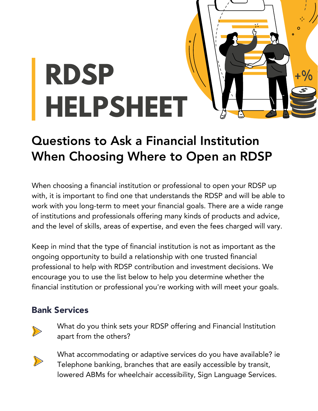

# Questions to Ask a Financial Institution When Choosing Where to Open an RDSP

When choosing a financial institution or professional to open your RDSP up with, it is important to find one that understands the RDSP and will be able to work with you long-term to meet your financial goals. There are a wide range of institutions and professionals offering many kinds of products and advice, and the level of skills, areas of expertise, and even the fees charged will vary.

Keep in mind that the type of financial institution is not as important as the ongoing opportunity to build a relationship with one trusted financial professional to help with RDSP contribution and investment decisions. We encourage you to use the list below to help you determine whether the financial institution or professional you're working with will meet your goals.

# Bank Services



What do you think sets your RDSP offering and Financial Institution apart from the others?



What accommodating or adaptive services do you have available? ie Telephone banking, branches that are easily accessible by transit, lowered ABMs for wheelchair accessibility, Sign Language Services.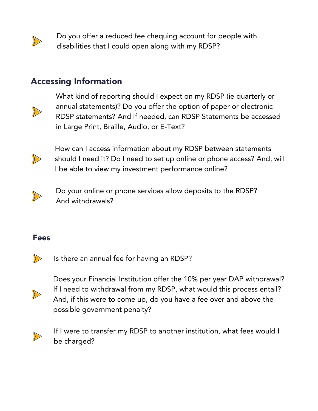

Do you offer a reduced fee chequing account for people with disabilities that I could open along with my RDSP?

## Accessing Information



What kind of reporting should I expect on my RDSP (ie quarterly or annual statements)? Do you offer the option of paper or electronic RDSP statements? And if needed, can RDSP Statements be accessed in Large Print, Braille, Audio, or E-Text?



How can I access information about my RDSP between statements should I need it? Do I need to set up online or phone access? And, will I be able to view my investment performance online?



Do your online or phone services allow deposits to the RDSP? And withdrawals?

### Fees



Is there an annual fee for having an RDSP?



Does your Financial Institution offer the 10% per year DAP withdrawal? If I need to withdrawal from my RDSP, what would this process entail? And, if this were to come up, do you have a fee over and above the possible government penalty?



If I were to transfer my RDSP to another institution, what fees would I be charged?